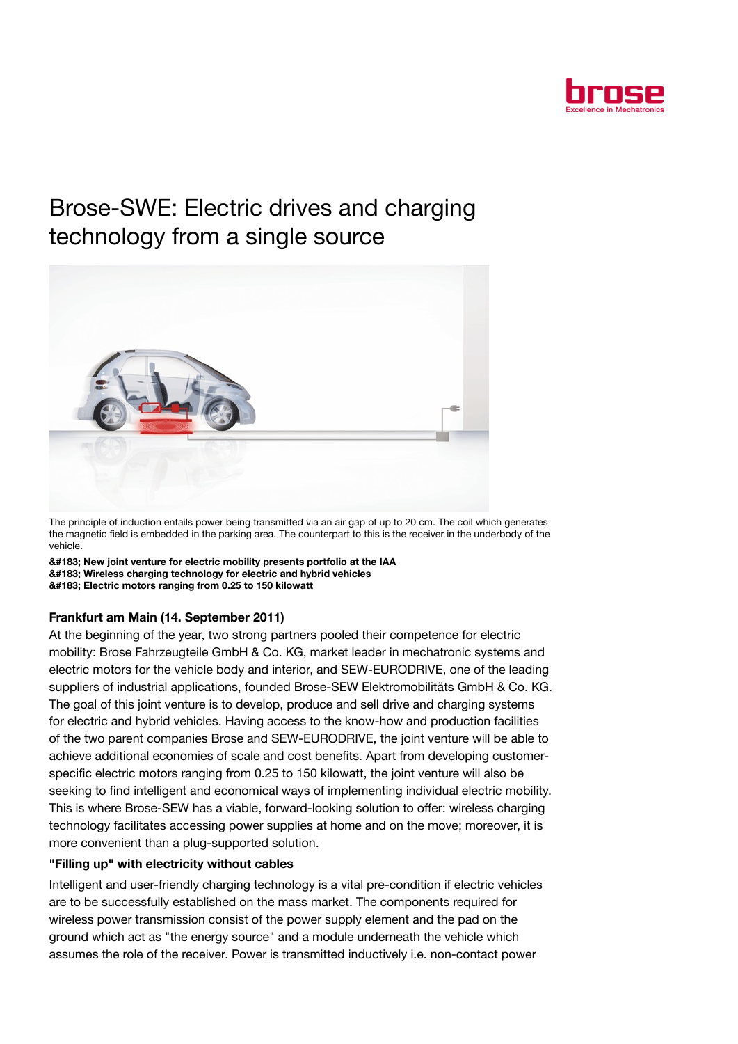

# Brose-SWE: Electric drives and charging technology from a single source



The principle of induction entails power being transmitted via an air gap of up to 20 cm. The coil which generates the magnetic field is embedded in the parking area. The counterpart to this is the receiver in the underbody of the vehicle.

· New joint venture for electric mobility presents portfolio at the IAA · Wireless charging technology for electric and hybrid vehicles · Electric motors ranging from 0.25 to 150 kilowatt

## Frankfurt am Main (14. September 2011)

At the beginning of the year, two strong partners pooled their competence for electric mobility: Brose Fahrzeugteile GmbH & Co. KG, market leader in mechatronic systems and electric motors for the vehicle body and interior, and SEW-EURODRIVE, one of the leading suppliers of industrial applications, founded Brose-SEW Elektromobilitäts GmbH & Co. KG. The goal of this joint venture is to develop, produce and sell drive and charging systems for electric and hybrid vehicles. Having access to the know-how and production facilities of the two parent companies Brose and SEW-EURODRIVE, the joint venture will be able to achieve additional economies of scale and cost benefits. Apart from developing customerspecific electric motors ranging from 0.25 to 150 kilowatt, the joint venture will also be seeking to find intelligent and economical ways of implementing individual electric mobility. This is where Brose-SEW has a viable, forward-looking solution to offer: wireless charging technology facilitates accessing power supplies at home and on the move; moreover, it is more convenient than a plug-supported solution.

## "Filling up" with electricity without cables

Intelligent and user-friendly charging technology is a vital pre-condition if electric vehicles are to be successfully established on the mass market. The components required for wireless power transmission consist of the power supply element and the pad on the ground which act as "the energy source" and a module underneath the vehicle which assumes the role of the receiver. Power is transmitted inductively i.e. non-contact power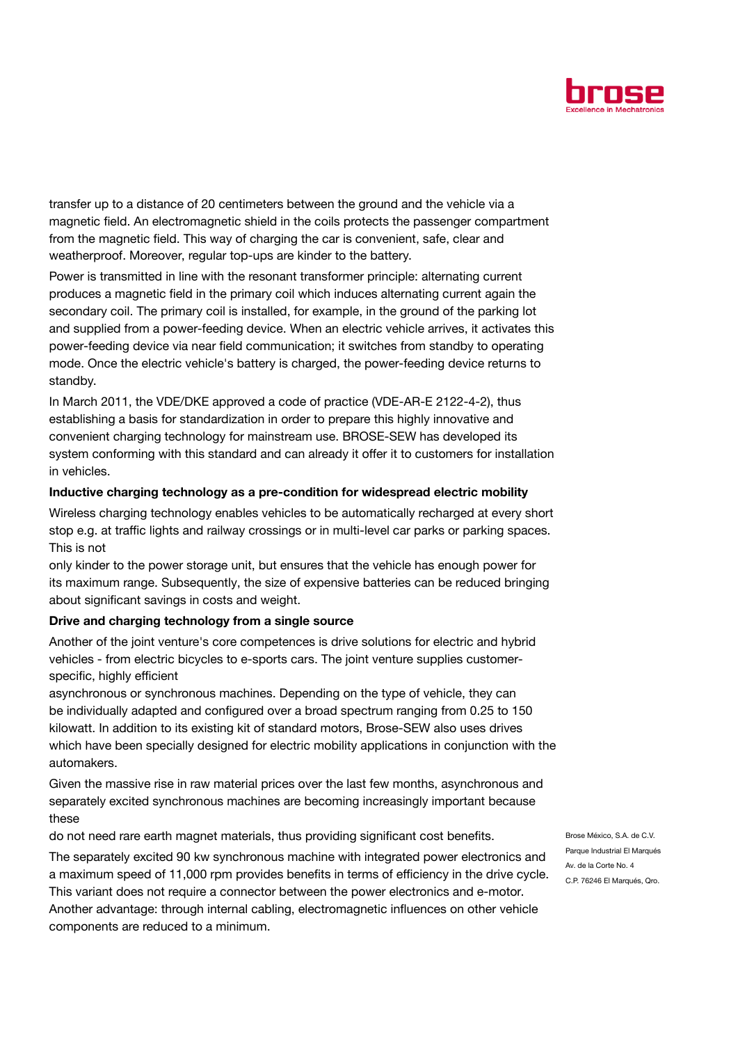

transfer up to a distance of 20 centimeters between the ground and the vehicle via a magnetic field. An electromagnetic shield in the coils protects the passenger compartment from the magnetic field. This way of charging the car is convenient, safe, clear and weatherproof. Moreover, regular top-ups are kinder to the battery.

Power is transmitted in line with the resonant transformer principle: alternating current produces a magnetic field in the primary coil which induces alternating current again the secondary coil. The primary coil is installed, for example, in the ground of the parking lot and supplied from a power-feeding device. When an electric vehicle arrives, it activates this power-feeding device via near field communication; it switches from standby to operating mode. Once the electric vehicle's battery is charged, the power-feeding device returns to standby.

In March 2011, the VDE/DKE approved a code of practice (VDE-AR-E 2122-4-2), thus establishing a basis for standardization in order to prepare this highly innovative and convenient charging technology for mainstream use. BROSE-SEW has developed its system conforming with this standard and can already it offer it to customers for installation in vehicles.

### Inductive charging technology as a pre-condition for widespread electric mobility

Wireless charging technology enables vehicles to be automatically recharged at every short stop e.g. at traffic lights and railway crossings or in multi-level car parks or parking spaces. This is not

only kinder to the power storage unit, but ensures that the vehicle has enough power for its maximum range. Subsequently, the size of expensive batteries can be reduced bringing about significant savings in costs and weight.

## Drive and charging technology from a single source

Another of the joint venture's core competences is drive solutions for electric and hybrid vehicles - from electric bicycles to e-sports cars. The joint venture supplies customerspecific, highly efficient

asynchronous or synchronous machines. Depending on the type of vehicle, they can be individually adapted and configured over a broad spectrum ranging from 0.25 to 150 kilowatt. In addition to its existing kit of standard motors, Brose-SEW also uses drives which have been specially designed for electric mobility applications in conjunction with the automakers.

Given the massive rise in raw material prices over the last few months, asynchronous and separately excited synchronous machines are becoming increasingly important because these

do not need rare earth magnet materials, thus providing significant cost benefits.

The separately excited 90 kw synchronous machine with integrated power electronics and a maximum speed of 11,000 rpm provides benefits in terms of efficiency in the drive cycle. This variant does not require a connector between the power electronics and e-motor. Another advantage: through internal cabling, electromagnetic influences on other vehicle components are reduced to a minimum.

Brose México, S.A. de C.V. Parque Industrial El Marqués Av. de la Corte No. 4 C.P. 76246 El Marqués, Qro.